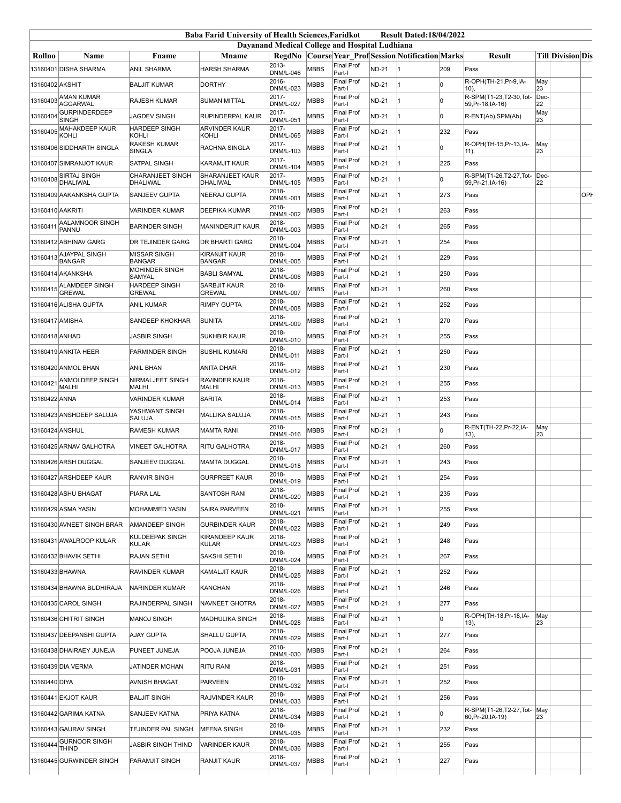| <b>Baba Farid University of Health Sciences, Faridkot</b><br><b>Result Dated:18/04/2022</b> |                                          |                                   |                                                |                                                |             |                             |              |                                                           |     |                                             |           |                   |
|---------------------------------------------------------------------------------------------|------------------------------------------|-----------------------------------|------------------------------------------------|------------------------------------------------|-------------|-----------------------------|--------------|-----------------------------------------------------------|-----|---------------------------------------------|-----------|-------------------|
|                                                                                             |                                          |                                   |                                                | Dayanand Medical College and Hospital Ludhiana |             |                             |              |                                                           |     |                                             |           |                   |
| Rollno                                                                                      | Name                                     | Fname                             | <b>Mname</b>                                   | 2013-                                          |             | <b>Final Prof</b>           |              | <b>RegdNo Course Year Prof Session Notification Marks</b> |     | <b>Result</b>                               |           | Till Division Dis |
|                                                                                             | 13160401 DISHA SHARMA                    | ANIL SHARMA                       | <b>HARSH SHARMA</b>                            | <b>DNM/L-046</b><br>2016-                      | <b>MBBS</b> | Part-I<br><b>Final Prof</b> | <b>ND-21</b> |                                                           | 209 | Pass<br>R-OPH(TH-21, Pr-9, IA-              | May       |                   |
| 13160402 AKSHIT                                                                             | <b>AMAN KUMAR</b>                        | <b>BALJIT KUMAR</b>               | <b>DORTHY</b>                                  | DNM/L-023<br>2017-                             | <b>MBBS</b> | Part-I<br><b>Final Prof</b> | <b>ND-21</b> |                                                           | lo  | 10).<br>R-SPM(T1-23.T2-30.Tot-              | 23<br>Dec |                   |
| 13160403                                                                                    | <b>AGGARWAL</b><br><b>GURPINDERDEEP</b>  | RAJESH KUMAR                      | <b>SUMAN MITTAL</b>                            | <b>DNM/L-027</b><br>2017-                      | MBBS        | Part-I<br><b>Final Prof</b> | <b>ND-21</b> |                                                           | lo  | 59, Pr-18, IA-16)                           | 22<br>May |                   |
| 13160404                                                                                    | <b>SINGH</b>                             | <b>JAGDEV SINGH</b>               | RUPINDERPAL KAUR                               | DNM/L-051                                      | <b>MBBS</b> | Part-I<br><b>Final Prof</b> | <b>ND-21</b> |                                                           | lo  | R-ENT(Ab), SPM(Ab)                          | 23        |                   |
| 13160405                                                                                    | MAHAKDEEP KAUR<br>KOHLI                  | <b>HARDEEP SINGH</b><br>KOHLI     | <b>ARVINDER KAUR</b><br>KOHLI                  | 2017-<br><b>DNM/L-065</b>                      | <b>MBBS</b> | Part-I                      | <b>ND-21</b> |                                                           | 232 | Pass                                        |           |                   |
|                                                                                             | 13160406 SIDDHARTH SINGLA                | RAKESH KUMAR<br><b>SINGLA</b>     | RACHNA SINGLA                                  | 2017-<br><b>DNM/L-103</b>                      | <b>MBBS</b> | <b>Final Prof</b><br>Part-I | <b>ND-21</b> |                                                           | lo  | R-OPH(TH-15, Pr-13, IA-<br>11),             | May<br>23 |                   |
|                                                                                             | 13160407 SIMRANJOT KAUR                  | SATPAL SINGH                      | KARAMJIT KAUR                                  | 2017-<br><b>DNM/L-104</b>                      | <b>MBBS</b> | <b>Final Prof</b><br>Part-I | <b>ND-21</b> |                                                           | 225 | Pass                                        |           |                   |
|                                                                                             | 13160408 SIRTAJ SINGH<br><b>DHALIWAL</b> | CHARANJEET SINGH<br>DHALIWAL      | <b>SHARANJEET KAUR</b><br>DHALIWAL             | 2017-<br><b>DNM/L-105</b>                      | <b>MBBS</b> | <b>Final Prof</b><br>Part-I | <b>ND-21</b> |                                                           | lо  | R-SPM(T1-26,T2-27,Tot-<br>59, Pr-21, IA-16) | Dec<br>22 |                   |
|                                                                                             | 13160409 AAKANKSHA GUPTA                 | SANJEEV GUPTA                     | <b>NEERAJ GUPTA</b>                            | 2018-<br>DNM/L-001                             | <b>MBBS</b> | Final Prof<br>Part-I        | <b>ND-21</b> |                                                           | 273 | Pass                                        |           | OPI               |
| 13160410 AAKRITI                                                                            |                                          | VARINDER KUMAR                    | <b>DEEPIKA KUMAR</b>                           | 2018-<br><b>DNM/L-002</b>                      | <b>MBBS</b> | <b>Final Prof</b><br>Part-I | <b>ND-21</b> |                                                           | 263 | Pass                                        |           |                   |
| 13160411                                                                                    | AALAMNOOR SINGH<br>PANNU                 | <b>BARINDER SINGH</b>             | <b>MANINDERJIT KAUR</b>                        | 2018-<br><b>DNM/L-003</b>                      | <b>MBBS</b> | <b>Final Prof</b><br>Part-I | <b>ND-21</b> |                                                           | 265 | Pass                                        |           |                   |
|                                                                                             | 13160412 ABHINAV GARG                    | DR TEJINDER GARG                  | DR BHARTI GARG                                 | 2018-<br><b>DNM/L-004</b>                      | <b>MBBS</b> | <b>Final Prof</b><br>Part-I | <b>ND-21</b> |                                                           | 254 | Pass                                        |           |                   |
| 1316041                                                                                     | AJAYPAL SINGH<br><b>BANGAR</b>           | MISSAR SINGH<br><b>BANGAR</b>     | KIRANJIT KAUR<br><b>BANGAR</b>                 | 2018-<br><b>DNM/L-005</b>                      | <b>MBBS</b> | <b>Final Prof</b><br>Part-I | <b>ND-21</b> |                                                           | 229 | Pass                                        |           |                   |
|                                                                                             | 13160414 AKANKSHA                        | MOHINDER SINGH<br>SAMYAL          | <b>BABLI SAMYAL</b>                            | 2018-<br>DNM/L-006                             | <b>MBBS</b> | <b>Final Prof</b><br>Part-I | <b>ND-21</b> |                                                           | 250 | Pass                                        |           |                   |
| 13160415                                                                                    | <b>ALAMDEEP SINGH</b><br><b>GREWAL</b>   | HARDEEP SINGH<br>GREWAL           | SARBJIT KAUR<br><b>GREWAL</b>                  | 2018-<br><b>DNM/L-007</b>                      | <b>MBBS</b> | <b>Final Prof</b><br>Part-I | <b>ND-21</b> |                                                           | 260 | Pass                                        |           |                   |
|                                                                                             | 13160416 ALISHA GUPTA                    | <b>ANIL KUMAR</b>                 | <b>RIMPY GUPTA</b>                             | 2018-<br><b>DNM/L-008</b>                      | <b>MBBS</b> | <b>Final Prof</b><br>Part-I | <b>ND-21</b> |                                                           | 252 | Pass                                        |           |                   |
| 13160417 AMISHA                                                                             |                                          | SANDEEP KHOKHAR                   | <b>SUNITA</b>                                  | 2018-<br>DNM/L-009                             | MBBS        | <b>Final Prof</b><br>Part-I | <b>ND-21</b> |                                                           | 270 | Pass                                        |           |                   |
| 13160418 ANHAD                                                                              |                                          | <b>JASBIR SINGH</b>               | <b>SUKHBIR KAUR</b>                            | 2018-<br>DNM/L-010                             | <b>MBBS</b> | <b>Final Prof</b><br>Part-I | <b>ND-21</b> |                                                           | 255 | Pass                                        |           |                   |
|                                                                                             | 13160419 ANKITA HEER                     | PARMINDER SINGH                   | SUSHIL KUMARI                                  | 2018-<br><b>DNM/L-011</b>                      | <b>MBBS</b> | <b>Final Prof</b><br>Part-I | <b>ND-21</b> |                                                           | 250 | Pass                                        |           |                   |
|                                                                                             | 13160420 ANMOL BHAN                      | ANIL BHAN                         | ANITA DHAR                                     | 2018-<br>DNM/L-012                             | <b>MBBS</b> | <b>Final Prof</b><br>Part-I | <b>ND-21</b> |                                                           | 230 | Pass                                        |           |                   |
| 13160421                                                                                    | ANMOLDEEP SINGH<br>MALHI                 | NIRMALJEET SINGH<br>MALHI         | RAVINDER KAUR<br>MALHI                         | 2018-<br>DNM/L-013                             | <b>MBBS</b> | Final Prof<br>Part-I        | <b>ND-21</b> |                                                           | 255 | Pass                                        |           |                   |
| 13160422 ANNA                                                                               |                                          | <b>VARINDER KUMAR</b>             | <b>SARITA</b>                                  | 2018-<br>DNM/L-014                             | <b>MBBS</b> | <b>Final Prof</b><br>Part-I | <b>ND-21</b> |                                                           | 253 | Pass                                        |           |                   |
|                                                                                             | 13160423 ANSHDEEP SALUJA                 | YASHWANT SINGH<br>SALUJA          | MALLIKA SALUJA                                 | 2018-<br>DNM/L-015                             | MBBS        | <b>Final Prof</b><br>Part-I | <b>ND-21</b> |                                                           | 243 | Pass                                        |           |                   |
| 13160424 ANSHUL                                                                             |                                          | RAMESH KUMAR                      | <b>MAMTA RANI</b>                              | 2018-                                          | MBBS        | <b>Final Prof</b>           | <b>ND-21</b> |                                                           | lo  | R-ENT(TH-22, Pr-22, IA-                     | May       |                   |
|                                                                                             | 13160425 ARNAV GALHOTRA                  | VINEET GALHOTRA                   | RITU GALHOTRA                                  | <b>DNM/L-016</b><br>2018-                      | <b>MBBS</b> | Part-I<br><b>Final Prof</b> | <b>ND-21</b> |                                                           | 260 | 13),<br>Pass                                | 23        |                   |
|                                                                                             | 13160426 ARSH DUGGAL                     | SANJEEV DUGGAL                    | MAMTA DUGGAL                                   | <b>DNM/L-017</b><br>2018-                      | <b>MBBS</b> | Part-I<br><b>Final Prof</b> | <b>ND-21</b> |                                                           | 243 | Pass                                        |           |                   |
|                                                                                             | 13160427 ARSHDEEP KAUR                   | <b>RANVIR SINGH</b>               | <b>GURPREET KAUR</b>                           | DNM/L-018<br>2018-                             | <b>MBBS</b> | Part-I<br><b>Final Prof</b> | <b>ND-21</b> |                                                           | 254 | Pass                                        |           |                   |
|                                                                                             | 13160428 ASHU BHAGAT                     | PIARA LAL                         | SANTOSH RANI                                   | <b>DNM/L-019</b><br>2018-                      | <b>MBBS</b> | Part-I<br><b>Final Prof</b> | <b>ND-21</b> |                                                           | 235 |                                             |           |                   |
|                                                                                             |                                          |                                   |                                                | <b>DNM/L-020</b><br>2018-                      |             | Part-I<br><b>Final Prof</b> |              |                                                           |     | Pass                                        |           |                   |
|                                                                                             | 13160429 ASMA YASIN                      | MOHAMMED YASIN                    | SAIRA PARVEEN                                  | DNM/L-021<br>2018-                             | MBBS        | Part-I<br><b>Final Prof</b> | ND-21        |                                                           | 255 | Pass                                        |           |                   |
|                                                                                             | 13160430 AVNEET SINGH BRAR               | AMANDEEP SINGH<br>KULDEEPAK SINGH | <b>GURBINDER KAUR</b><br><b>KIRANDEEP KAUR</b> | <b>DNM/L-022</b><br>2018-                      | MBBS        | Part-I<br><b>Final Prof</b> | <b>ND-21</b> |                                                           | 249 | Pass                                        |           |                   |
|                                                                                             | 13160431 AWALROOP KULAR                  | KULAR                             | KULAR                                          | <b>DNM/L-023</b><br>2018-                      | MBBS        | Part-I<br><b>Final Prof</b> | <b>ND-21</b> |                                                           | 248 | Pass                                        |           |                   |
|                                                                                             | 13160432 BHAVIK SETHI                    | RAJAN SETHI                       | SAKSHI SETHI                                   | DNM/L-024<br>2018-                             | MBBS        | Part-I<br><b>Final Prof</b> | <b>ND-21</b> |                                                           | 267 | Pass                                        |           |                   |
|                                                                                             | 13160433 BHAWNA                          | RAVINDER KUMAR                    | KAMALJIT KAUR                                  | DNM/L-025                                      | <b>MBBS</b> | Part-I                      | <b>ND-21</b> |                                                           | 252 | Pass                                        |           |                   |
|                                                                                             | 13160434 BHAWNA BUDHIRAJA                | NARINDER KUMAR                    | KANCHAN                                        | 2018-<br>DNM/L-026                             | MBBS        | <b>Final Prof</b><br>Part-I | ND-21        |                                                           | 246 | Pass                                        |           |                   |
|                                                                                             | 13160435 CAROL SINGH                     | RAJINDERPAL SINGH                 | NAVNEET GHOTRA                                 | 2018-<br><b>DNM/L-027</b>                      | MBBS        | <b>Final Prof</b><br>Part-I | ND-21        |                                                           | 277 | Pass                                        |           |                   |
|                                                                                             | 13160436 CHITRIT SINGH                   | <b>MANOJ SINGH</b>                | MADHULIKA SINGH                                | 2018-<br><b>DNM/L-028</b>                      | MBBS        | <b>Final Prof</b><br>Part-I | <b>ND-21</b> |                                                           | lo. | R-OPH(TH-18, Pr-18, IA-<br>13),             | May<br>23 |                   |
|                                                                                             | 13160437 DEEPANSHI GUPTA                 | AJAY GUPTA                        | <b>SHALLU GUPTA</b>                            | 2018-<br>DNM/L-029                             | MBBS        | <b>Final Prof</b><br>Part-I | <b>ND-21</b> |                                                           | 277 | Pass                                        |           |                   |
|                                                                                             | 13160438 DHAIRAEY JUNEJA                 | PUNEET JUNEJA                     | POOJA JUNEJA                                   | 2018-<br>DNM/L-030                             | MBBS        | Final Prof<br>Part-I        | ND-21        |                                                           | 264 | Pass                                        |           |                   |
|                                                                                             | 13160439 DIA VERMA                       | JATINDER MOHAN                    | RITU RANI                                      | 2018-<br>DNM/L-031                             | MBBS        | <b>Final Prof</b><br>Part-I | ND-21        |                                                           | 251 | Pass                                        |           |                   |
| 13160440 DIYA                                                                               |                                          | AVNISH BHAGAT                     | <b>PARVEEN</b>                                 | 2018-<br>DNM/L-032                             | MBBS        | <b>Final Prof</b><br>Part-I | <b>ND-21</b> |                                                           | 252 | Pass                                        |           |                   |
|                                                                                             | 13160441 EKJOT KAUR                      | BALJIT SINGH                      | RAJVINDER KAUR                                 | 2018-<br>DNM/L-033                             | MBBS        | <b>Final Prof</b><br>Part-I | ND-21        |                                                           | 256 | Pass                                        |           |                   |
|                                                                                             | 13160442 GARIMA KATNA                    | SANJEEV KATNA                     | PRIYA KATNA                                    | 2018-<br><b>DNM/L-034</b>                      | MBBS        | <b>Final Prof</b><br>Part-I | <b>ND-21</b> |                                                           | lo  | R-SPM(T1-26,T2-27,Tot-<br>60, Pr-20, IA-19) | May<br>23 |                   |
|                                                                                             | 13160443 GAURAV SINGH                    | TEJINDER PAL SINGH                | MEENA SINGH                                    | 2018-<br><b>DNM/L-035</b>                      | MBBS        | <b>Final Prof</b><br>Part-I | <b>ND-21</b> |                                                           | 232 | Pass                                        |           |                   |
| 13160444                                                                                    | <b>GURNOOR SINGH</b><br>THIND            | JASBIR SINGH THIND                | VARINDER KAUR                                  | 2018-<br>DNM/L-036                             | MBBS        | Final Prof<br>Part-I        | ND-21        |                                                           | 255 | Pass                                        |           |                   |
|                                                                                             | 13160445 GURWINDER SINGH                 | PARAMJIT SINGH                    | RANJIT KAUR                                    | 2018-                                          | MBBS        | <b>Final Prof</b><br>Part-I | <b>ND-21</b> |                                                           | 227 | Pass                                        |           |                   |
|                                                                                             |                                          |                                   |                                                | DNM/L-037                                      |             |                             |              |                                                           |     |                                             |           |                   |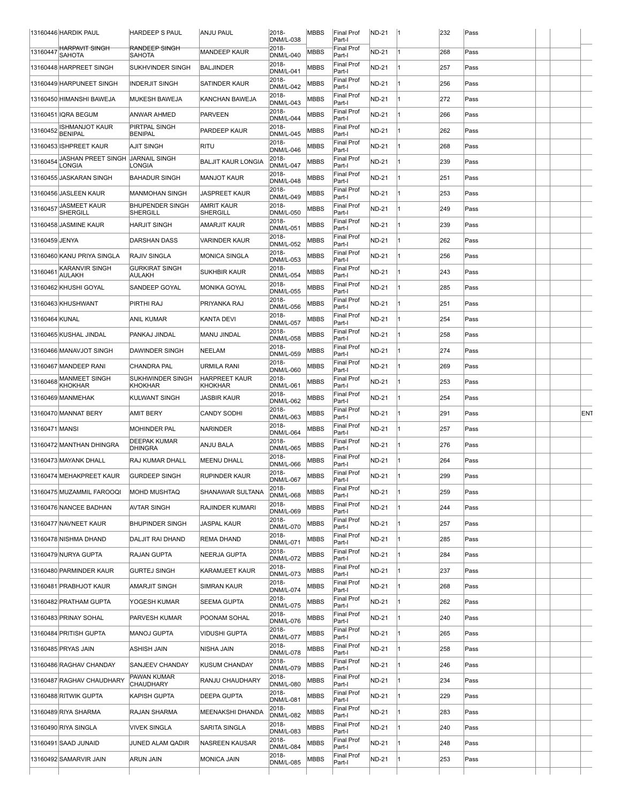|                | 13160446 HARDIK PAUL                         | <b>HARDEEP S PAUL</b>                           | <b>ANJU PAUL</b>                       | 2018-<br><b>DNM/L-038</b> | <b>MBBS</b> | <b>Final Prof</b><br>Part-I | ND-21        | $\vert$ 1 | 232 | Pass |  |     |
|----------------|----------------------------------------------|-------------------------------------------------|----------------------------------------|---------------------------|-------------|-----------------------------|--------------|-----------|-----|------|--|-----|
| 13160447       | <del>HARPAVIT SINGH</del><br><b>SAHOTA</b>   | <del>RANDEEP SINGH</del><br><b>SAHOTA</b>       | <b>MANDEEP KAUR</b>                    | 2018-<br>DNM/L-040        | MBBS        | Final Prof<br>Part-I        | <b>ND-21</b> |           | 268 | Pass |  |     |
|                | 13160448 HARPREET SINGH                      | SUKHVINDER SINGH                                | <b>BALJINDER</b>                       | 2018-                     | <b>MBBS</b> | <b>Final Prof</b>           | ND-21        |           | 257 | Pass |  |     |
|                | 13160449 HARPUNEET SINGH                     | <b>INDERJIT SINGH</b>                           | SATINDER KAUR                          | DNM/L-041<br>2018-        | <b>MBBS</b> | Part-I<br><b>Final Prof</b> | <b>ND-21</b> |           | 256 | Pass |  |     |
|                | 13160450 HIMANSHI BAWEJA                     | MUKESH BAWEJA                                   | KANCHAN BAWEJA                         | <b>DNM/L-042</b><br>2018- | MBBS        | Part-I<br><b>Final Prof</b> | ND-21        |           | 272 | Pass |  |     |
|                | 13160451 IQRA BEGUM                          | ANWAR AHMED                                     | <b>PARVEEN</b>                         | <b>DNM/L-043</b><br>2018- | MBBS        | Part-I<br><b>Final Prof</b> | ND-21        |           | 266 | Pass |  |     |
| 13160452       | <b>ISHMANJOT KAUR</b>                        | PIRTPAL SINGH                                   | PARDEEP KAUR                           | DNM/L-044<br>2018-        | MBBS        | Part-I<br><b>Final Prof</b> | ND-21        |           | 262 | Pass |  |     |
|                | <b>BENIPAL</b><br>13160453 ISHPREET KAUR     | <b>BENIPAL</b><br><b>AJIT SINGH</b>             | <b>RITU</b>                            | DNM/L-045<br>2018-        | MBBS        | Part-I<br><b>Final Prof</b> | ND-21        |           | 268 | Pass |  |     |
|                | JASHAN PREET SINGH  JARNAIL SINGH            |                                                 | <b>BALJIT KAUR LONGIA</b>              | <b>DNM/L-046</b><br>2018- | MBBS        | Part-I<br><b>Final Prof</b> | <b>ND-21</b> |           | 239 |      |  |     |
| 13160454       | LONGIA                                       | LONGIA                                          |                                        | <b>DNM/L-047</b><br>2018- |             | Part-I<br><b>Final Prof</b> |              |           |     | Pass |  |     |
|                | 13160455 JASKARAN SINGH                      | <b>BAHADUR SINGH</b>                            | <b>MANJOT KAUR</b>                     | DNM/L-048<br>2018-        | MBBS        | Part-I<br><b>Final Prof</b> | ND-21        |           | 251 | Pass |  |     |
|                | 13160456 JASLEEN KAUR<br><b>JASMEET KAUR</b> | <b>MANMOHAN SINGH</b><br><b>BHUPENDER SINGH</b> | <b>JASPREET KAUR</b><br>AMRIT KAUR     | DNM/L-049<br>2018-        | MBBS        | Part-I<br><b>Final Prof</b> | ND-21        |           | 253 | Pass |  |     |
| 13160457       | <b>SHERGILL</b>                              | SHERGILL                                        | SHERGILL                               | DNM/L-050<br>2018-        | MBBS        | Part-I<br><b>Final Prof</b> | ND-21        |           | 249 | Pass |  |     |
|                | 13160458 JASMINE KAUR                        | <b>HARJIT SINGH</b>                             | AMARJIT KAUR                           | DNM/L-051<br>2018-        | MBBS        | Part-I<br><b>Final Prof</b> | ND-21        |           | 239 | Pass |  |     |
| 13160459 JENYA |                                              | DARSHAN DASS                                    | VARINDER KAUR                          | <b>DNM/L-052</b>          | <b>MBBS</b> | Part-I                      | <b>ND-21</b> |           | 262 | Pass |  |     |
|                | 13160460 KANU PRIYA SINGLA                   | <b>RAJIV SINGLA</b>                             | <b>MONICA SINGLA</b>                   | 2018-<br>DNM/L-053        | <b>MBBS</b> | <b>Final Prof</b><br>Part-I | ND-21        |           | 256 | Pass |  |     |
| 13160461       | KARANVIR SINGH<br><b>AULAKH</b>              | <b>GURKIRAT SINGH</b><br>AULAKH                 | <b>SUKHBIR KAUR</b>                    | 2018-<br><b>DNM/L-054</b> | MBBS        | <b>Final Prof</b><br>Part-I | <b>ND-21</b> |           | 243 | Pass |  |     |
|                | 13160462 KHUSHI GOYAL                        | SANDEEP GOYAL                                   | <b>MONIKA GOYAL</b>                    | 2018-<br>DNM/L-055        | MBBS        | <b>Final Prof</b><br>Part-I | <b>ND-21</b> |           | 285 | Pass |  |     |
|                | 13160463 KHUSHWANT                           | PIRTHI RAJ                                      | PRIYANKA RAJ                           | 2018-<br>DNM/L-056        | MBBS        | <b>Final Prof</b><br>Part-I | ND-21        |           | 251 | Pass |  |     |
| 13160464 KUNAL |                                              | ANIL KUMAR                                      | KANTA DEVI                             | 2018-<br>DNM/L-057        | MBBS        | Final Prof<br>Part-I        | <b>ND-21</b> |           | 254 | Pass |  |     |
|                | 13160465 KUSHAL JINDAL                       | PANKAJ JINDAL                                   | MANU JINDAL                            | 2018-<br>DNM/L-058        | MBBS        | <b>Final Prof</b><br>Part-I | <b>ND-21</b> |           | 258 | Pass |  |     |
|                | 13160466 MANAVJOT SINGH                      | DAWINDER SINGH                                  | NEELAM                                 | 2018-<br>DNM/L-059        | MBBS        | <b>Final Prof</b><br>Part-I | <b>ND-21</b> |           | 274 | Pass |  |     |
|                | 13160467 MANDEEP RANI                        | <b>CHANDRA PAL</b>                              | URMILA RANI                            | 2018-<br>DNM/L-060        | MBBS        | <b>Final Prof</b><br>Part-I | <b>ND-21</b> |           | 269 | Pass |  |     |
| 13160468       | <b>MANMEET SINGH</b><br><b>KHOKHAR</b>       | SUKHWINDER SINGH<br>KHOKHAR                     | <b>HARPREET KAUR</b><br><b>KHOKHAR</b> | 2018-<br>DNM/L-061        | MBBS        | <b>Final Prof</b><br>Part-I | ND-21        |           | 253 | Pass |  |     |
|                | 13160469 MANMEHAK                            | KULWANT SINGH                                   | JASBIR KAUR                            | 2018-<br>DNM/L-062        | MBBS        | <b>Final Prof</b><br>Part-I | ND-21        |           | 254 | Pass |  |     |
|                |                                              |                                                 |                                        |                           |             |                             |              |           |     |      |  |     |
|                | 13160470 MANNAT BERY                         | <b>AMIT BERY</b>                                | <b>CANDY SODHI</b>                     | 2018-                     | MBBS        | Final Prof                  | ND-21        |           | 291 | Pass |  | ENT |
| 13160471 MANSI |                                              | <b>MOHINDER PAL</b>                             | NARINDER                               | DNM/L-063<br>2018-        | <b>MBBS</b> | Part-I<br><b>Final Prof</b> | <b>ND-21</b> |           | 257 | Pass |  |     |
|                | 13160472 MANTHAN DHINGRA                     | <b>DEEPAK KUMAR</b>                             | ANJU BALA                              | DNM/L-064<br>2018-        | MBBS        | Part-I<br><b>Final Prof</b> | ND-21        |           | 276 | Pass |  |     |
|                | 13160473 MAYANK DHALL                        | <b>DHINGRA</b><br>RAJ KUMAR DHALL               | <b>MEENU DHALL</b>                     | DNM/L-065<br>2018-        | <b>MBBS</b> | Part-I<br><b>Final Prof</b> | <b>ND-21</b> |           | 264 | Pass |  |     |
|                | 13160474 MEHAKPREET KAUR                     | <b>GURDEEP SINGH</b>                            | RUPINDER KAUR                          | <b>DNM/L-066</b><br>2018- | <b>MBBS</b> | Part-I<br><b>Final Prof</b> | <b>ND-21</b> |           | 299 | Pass |  |     |
|                | 13160475 MUZAMMIL FAROOQI                    | MOHD MUSHTAQ                                    | SHANAWAR SULTANA                       | <b>DNM/L-067</b><br>2018- | MBBS        | Part-I<br><b>Final Prof</b> | ND-21        |           | 259 | Pass |  |     |
|                | 13160476 NANCEE BADHAN                       | AVTAR SINGH                                     | RAJINDER KUMARI                        | <b>DNM/L-068</b><br>2018- | MBBS        | Part-I<br><b>Final Prof</b> | ND-21        |           | 244 | Pass |  |     |
|                |                                              |                                                 |                                        | DNM/L-069<br>2018-        |             | Part-I<br><b>Final Prof</b> |              |           |     |      |  |     |
|                | 13160477 NAVNEET KAUR                        | <b>BHUPINDER SINGH</b>                          | JASPAL KAUR                            | <b>DNM/L-070</b><br>2018- | MBBS        | Part-I<br><b>Final Prof</b> | ND-21        |           | 257 | Pass |  |     |
|                | 13160478 NISHMA DHAND                        | DALJIT RAI DHAND                                | REMA DHAND                             | DNM/L-071<br>2018-        | <b>MBBS</b> | Part-I<br><b>Final Prof</b> | <b>ND-21</b> |           | 285 | Pass |  |     |
|                | 13160479 NURYA GUPTA                         | RAJAN GUPTA                                     | <b>NEERJA GUPTA</b>                    | DNM/L-072<br>2018-        | MBBS        | Part-I<br><b>Final Prof</b> | ND-21        |           | 284 | Pass |  |     |
|                | 13160480 PARMINDER KAUR                      | <b>GURTEJ SINGH</b>                             | KARAMJEET KAUR                         | DNM/L-073<br>2018-        | MBBS        | Part-I<br><b>Final Prof</b> | ND-21        |           | 237 | Pass |  |     |
|                | 13160481 PRABHJOT KAUR                       | AMARJIT SINGH                                   | <b>SIMRAN KAUR</b>                     | DNM/L-074<br>2018-        | MBBS        | Part-I<br><b>Final Prof</b> | ND-21        |           | 268 | Pass |  |     |
|                | 13160482 PRATHAM GUPTA                       | YOGESH KUMAR                                    | <b>SEEMA GUPTA</b>                     | DNM/L-075<br>2018-        | <b>MBBS</b> | Part-I<br>Final Prof        | ND-21        |           | 262 | Pass |  |     |
|                | 13160483 PRINAY SOHAL                        | PARVESH KUMAR                                   | POONAM SOHAL                           | DNM/L-076<br>2018-        | MBBS        | Part-I                      | <b>ND-21</b> |           | 240 | Pass |  |     |
|                | 13160484 PRITISH GUPTA                       | <b>MANOJ GUPTA</b>                              | VIDUSHI GUPTA                          | <b>DNM/L-077</b>          | MBBS        | <b>Final Prof</b><br>Part-I | ND-21        |           | 265 | Pass |  |     |
|                | 13160485 PRYAS JAIN                          | ASHISH JAIN                                     | NISHA JAIN                             | 2018-<br>DNM/L-078        | MBBS        | <b>Final Prof</b><br>Part-I | <b>ND-21</b> |           | 258 | Pass |  |     |
|                | 13160486 RAGHAV CHANDAY                      | SANJEEV CHANDAY                                 | KUSUM CHANDAY                          | 2018-<br>DNM/L-079        | MBBS        | <b>Final Prof</b><br>Part-I | ND-21        |           | 246 | Pass |  |     |
|                | 13160487 RAGHAV CHAUDHARY                    | PAWAN KUMAR<br>CHAUDHARY                        | RANJU CHAUDHARY                        | 2018-<br>DNM/L-080        | MBBS        | <b>Final Prof</b><br>Part-I | ND-21        |           | 234 | Pass |  |     |
|                | 13160488 RITWIK GUPTA                        | KAPISH GUPTA                                    | <b>DEEPA GUPTA</b>                     | 2018-<br>DNM/L-081        | MBBS        | <b>Final Prof</b><br>Part-I | ND-21        |           | 229 | Pass |  |     |
|                | 13160489 RIYA SHARMA                         | RAJAN SHARMA                                    | MEENAKSHI DHANDA                       | 2018-<br><b>DNM/L-082</b> | MBBS        | <b>Final Prof</b><br>Part-I | ND-21        |           | 283 | Pass |  |     |
|                | 13160490 RIYA SINGLA                         | <b>VIVEK SINGLA</b>                             | SARITA SINGLA                          | 2018-<br><b>DNM/L-083</b> | MBBS        | <b>Final Prof</b><br>Part-I | <b>ND-21</b> |           | 240 | Pass |  |     |
|                | 13160491 SAAD JUNAID                         | JUNED ALAM QADIR                                | NASREEN KAUSAR                         | 2018-<br>DNM/L-084        | MBBS        | <b>Final Prof</b><br>Part-I | ND-21        |           | 248 | Pass |  |     |
|                | 13160492 SAMARVIR JAIN                       | ARUN JAIN                                       | MONICA JAIN                            | 2018-<br><b>DNM/L-085</b> | MBBS        | <b>Final Prof</b><br>Part-I | ND-21        |           | 253 | Pass |  |     |